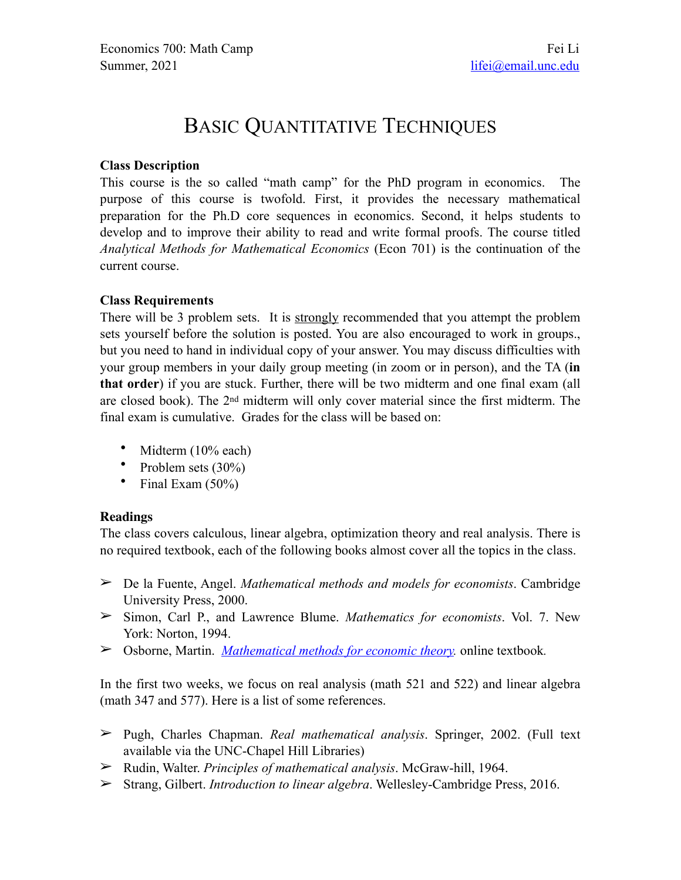# BASIC QUANTITATIVE TECHNIQUES

## **Class Description**

This course is the so called "math camp" for the PhD program in economics. The purpose of this course is twofold. First, it provides the necessary mathematical preparation for the Ph.D core sequences in economics. Second, it helps students to develop and to improve their ability to read and write formal proofs. The course titled *Analytical Methods for Mathematical Economics* (Econ 701) is the continuation of the current course.

## **Class Requirements**

There will be 3 problem sets. It is strongly recommended that you attempt the problem sets yourself before the solution is posted. You are also encouraged to work in groups., but you need to hand in individual copy of your answer. You may discuss difficulties with your group members in your daily group meeting (in zoom or in person), and the TA (**in that order**) if you are stuck. Further, there will be two midterm and one final exam (all are closed book). The 2nd midterm will only cover material since the first midterm. The final exam is cumulative. Grades for the class will be based on:

- Midterm (10% each)
- Problem sets (30%)
- Final Exam (50%)

#### **Readings**

The class covers calculous, linear algebra, optimization theory and real analysis. There is no required textbook, each of the following books almost cover all the topics in the class.

- ➢ De la Fuente, Angel. *Mathematical methods and models for economists*. Cambridge University Press, 2000.
- ➢ Simon, Carl P., and Lawrence Blume. *Mathematics for economists*. Vol. 7. New York: Norton, 1994.
- ➢ Osborne, Martin. *[Mathematical methods for economic theory.](http://mjo.osborne.economics.utoronto.ca/index.php/tutorial/index/1/toc)* online textbook*.*

In the first two weeks, we focus on real analysis (math 521 and 522) and linear algebra (math 347 and 577). Here is a list of some references.

- ➢ Pugh, Charles Chapman. *Real mathematical analysis*. Springer, 2002. (Full text available via the UNC-Chapel Hill Libraries)
- ➢ Rudin, Walter. *Principles of mathematical analysis*. McGraw-hill, 1964.
- ➢ Strang, Gilbert. *Introduction to linear algebra*. Wellesley-Cambridge Press, 2016.